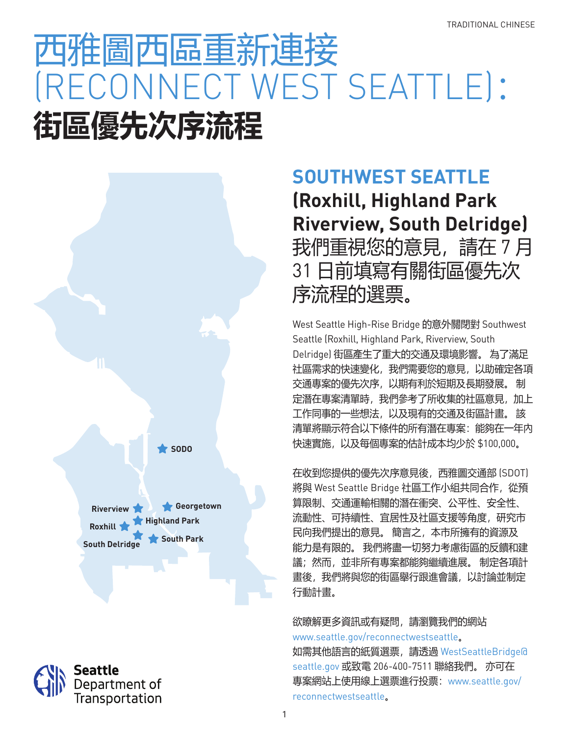# 西雅圖西區重新連接 (RECONNECT WEST SEATTLE): **街區優先次序流程**





## **SOUTHWEST SEATTLE (Roxhill, Highland Park Riverview, South Delridge)** 我們重視您的意見,請在 7 月 31 日前填寫有關街區優先次 序流程的選票。

West Seattle High-Rise Bridge 的意外關閉對 Southwest Seattle (Roxhill, Highland Park, Riverview, South Delridge) 街區產生了重大的交通及環境影響。 為了滿足 社區需求的快速變化,我們需要您的意見,以助確定各項 交通專案的優先次序,以期有利於短期及長期發展。 制 定潛在專案清單時,我們參考了所收集的社區意見,加上 工作同事的一些想法,以及現有的交通及街區計畫。 該 清單將顯示符合以下條件的所有潛在專案:能夠在一年內 快速實施,以及每個專案的估計成本均少於 \$100,000。

在收到您提供的優先次序意見後,西雅圖交通部 (SDOT) 將與 West Seattle Bridge 社區工作小組共同合作,從預 算限制、交通運輸相關的潛在衝突、公平性、安全性、 流動性、可持續性、宜居性及社區支援等角度,研究市 民向我們提出的意見。 簡言之,本市所擁有的資源及 能力是有限的。 我們將盡一切努力考慮街區的反饋和建 議;然而,並非所有專案都能夠繼續進展。 制定各項計 書後,我們將與您的街區舉行跟進會議,以討論並制定 行動計畫。

欲瞭解更多資訊或有疑問,請瀏覽我們的網站 www.seattle.gov/reconnectwestseattle。 如需其他語言的紙質選票,請透過 WestSeattleBridge@ seattle.gov 或致電 206-400-7511 聯絡我們。 亦可在 專案網站上使用線上選票進行投票:www.seattle.gov/ reconnectwestseattle。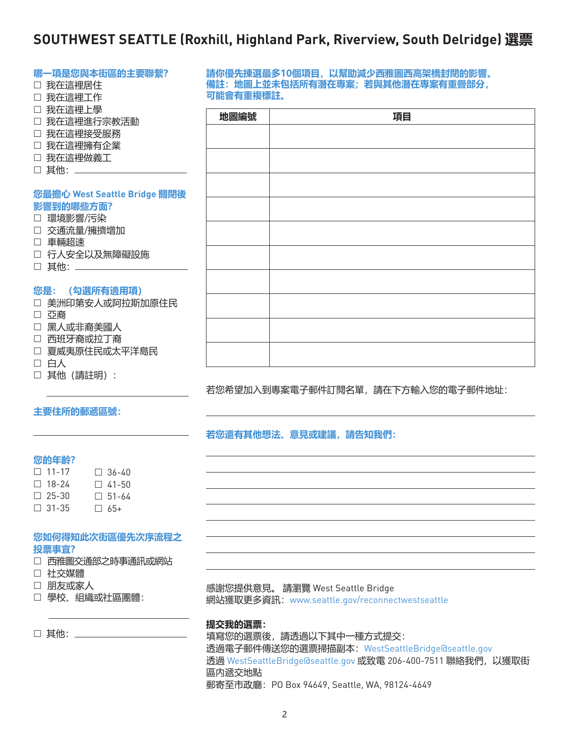### **SOUTHWEST SEATTLE (Roxhill, Highland Park, Riverview, South Delridge) 選票**

| 哪一項是您與本街區的主要聯繫?              |           | 請你優先揀選最多10個項目,以幫助減少西雅圖西高架橋封閉的影響。  |
|------------------------------|-----------|-----------------------------------|
| □ 我在這裡居住                     |           | 備註: 地圖上並未包括所有潛在專案; 若與其他潛在專案有重疊部分, |
| □ 我在這裡工作                     | 可能會有重複標註。 |                                   |
| □ 我在這裡上學                     |           | 項目                                |
| □ 我在這裡進行宗教活動                 | 地圖編號      |                                   |
| □ 我在這裡接受服務                   |           |                                   |
| □ 我在這裡擁有企業                   |           |                                   |
| □ 我在這裡做義工                    |           |                                   |
| □ 其他: _____                  |           |                                   |
|                              |           |                                   |
| 您最擔心 West Seattle Bridge 關閉後 |           |                                   |
| 影響到的哪些方面?                    |           |                                   |
| □ 環境影響/污染                    |           |                                   |
| □ 交通流量/擁擠增加                  |           |                                   |
| □ 車輛超速                       |           |                                   |
| □ 行人安全以及無障礙設施                |           |                                   |
| □ 其他: ______________         |           |                                   |
|                              |           |                                   |
| 您是: (勾選所有適用項)                |           |                                   |
| □ 美洲印第安人或阿拉斯加原住民             |           |                                   |
| □ 亞裔                         |           |                                   |
| □ 黑人或非裔美國人                   |           |                                   |
| □ 西班牙裔或拉丁裔                   |           |                                   |
| □ 夏威夷原住民或太平洋島民               |           |                                   |
| □ 白人                         |           |                                   |
| □ 其他 (請註明) :                 |           |                                   |
|                              |           | 若您希望加入到專案電子郵件訂閱名單,請在下方輸入您的電子郵件地址: |

#### **主要住所的郵遞區號:**

#### **若您還有其他想法、意見或建議,請告知我們:**

#### **您的年齡?**

| $\Box$ 11-17 | □ 36-40      |
|--------------|--------------|
| □ 18-24      | $\Box$ 41-50 |
| $\Box$ 25-30 | $\Box$ 51-64 |
| $\Box$ 31-35 | $\Box$ 65+   |

#### **您如何得知此次街區優先次序流程之 投票事宜?**

- 社交媒體
- 朋友或家人
- 學校、組織或社區團體:

□ 其他: \_\_\_\_\_\_\_\_\_\_\_\_

感謝您提供意見。 請瀏覽 West Seattle Bridge 網站獲取更多資訊:www.seattle.gov/reconnectwestseattle

#### **提交我的選票:**

填寫您的選票後,請透過以下其中一種方式提交: 透過電子郵件傳送您的選票掃描副本:WestSeattleBridge@seattle.gov 透過 WestSeattleBridge@seattle.gov 或致電 206-400-7511 聯絡我們,以獲取街 區內遞交地點 郵寄至市政廳:PO Box 94649, Seattle, WA, 98124-4649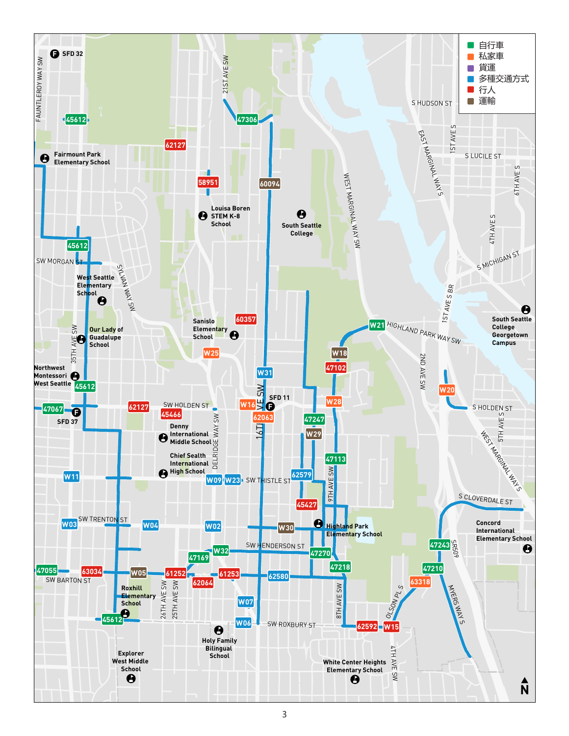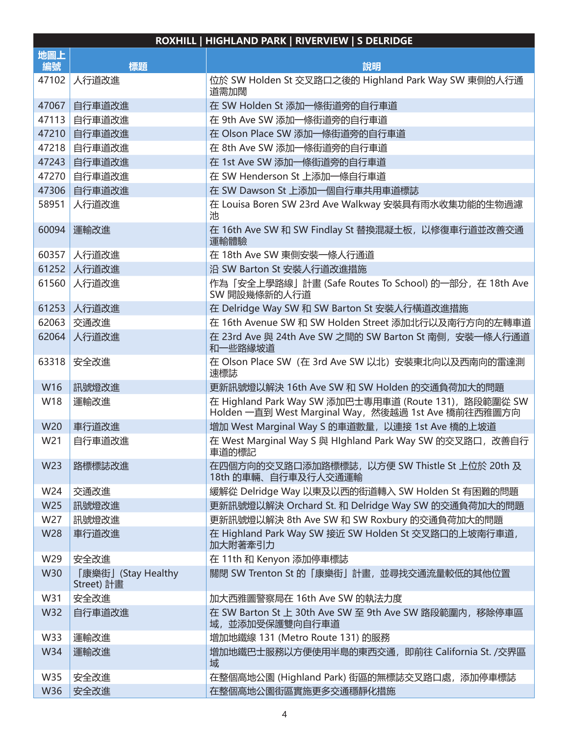| ROXHILL   HIGHLAND PARK   RIVERVIEW   S DELRIDGE |                                  |                                                                                                              |  |  |
|--------------------------------------------------|----------------------------------|--------------------------------------------------------------------------------------------------------------|--|--|
| 地圖上                                              |                                  |                                                                                                              |  |  |
| 編號                                               | 標題                               | 說明                                                                                                           |  |  |
| 47102                                            | 人行道改進                            | 位於 SW Holden St 交叉路口之後的 Highland Park Way SW 東側的人行通<br>道需加闊                                                  |  |  |
| 47067                                            | 自行車道改進                           | 在 SW Holden St 添加一條街道旁的自行車道                                                                                  |  |  |
| 47113                                            | 自行車道改進                           | 在 9th Ave SW 添加一條街道旁的自行車道                                                                                    |  |  |
| 47210                                            | 自行車道改進                           | 在 Olson Place SW 添加一條街道旁的自行車道                                                                                |  |  |
| 47218                                            | 自行車道改進                           | 在 8th Ave SW 添加一條街道旁的自行車道                                                                                    |  |  |
| 47243                                            | 自行車道改進                           | 在 1st Ave SW 添加一條街道旁的自行車道                                                                                    |  |  |
| 47270                                            | 自行車道改進                           | 在 SW Henderson St 上添加一條自行車道                                                                                  |  |  |
| 47306                                            | 自行車道改進                           | 在 SW Dawson St 上添加一個自行車共用車道標誌                                                                                |  |  |
| 58951                                            | 人行道改進                            | 在 Louisa Boren SW 23rd Ave Walkway 安裝具有雨水收集功能的生物過濾<br>池                                                      |  |  |
| 60094                                            | 運輸改進                             | 在 16th Ave SW 和 SW Findlay St 替换混凝土板, 以修復車行道並改善交通<br>運輸體驗                                                    |  |  |
| 60357                                            | 人行道改進                            | 在 18th Ave SW 東側安裝一條人行通道                                                                                     |  |  |
| 61252                                            | 人行道改進                            | 沿 SW Barton St 安裝人行道改進措施                                                                                     |  |  |
| 61560                                            | 人行道改進                            | 作為「安全上學路線」計畫 (Safe Routes To School) 的一部分, 在 18th Ave<br>SW 開設幾條新的人行道                                        |  |  |
| 61253                                            | 人行道改進                            | 在 Delridge Way SW 和 SW Barton St 安裝人行橫道改進措施                                                                  |  |  |
| 62063                                            | 交通改進                             | 在 16th Avenue SW 和 SW Holden Street 添加北行以及南行方向的左轉車道                                                          |  |  |
| 62064                                            | 人行道改進                            | 在 23rd Ave 與 24th Ave SW 之間的 SW Barton St 南側, 安裝一條人行通道<br>和一些路緣坡道                                            |  |  |
| 63318                                            | 安全改進                             | 在 Olson Place SW (在 3rd Ave SW 以北) 安裝東北向以及西南向的雷達測<br>速標誌                                                     |  |  |
| W16                                              | 訊號燈改進                            | 更新訊號燈以解決 16th Ave SW 和 SW Holden 的交通負荷加大的問題                                                                  |  |  |
| W18                                              | 運輸改進                             | 在 Highland Park Way SW 添加巴士專用車道 (Route 131), 路段範圍從 SW<br>Holden 一直到 West Marginal Way, 然後越過 1st Ave 橋前往西雅圖方向 |  |  |
| W20                                              | 車行道改進                            | 增加 West Marginal Way S 的車道數量, 以連接 1st Ave 橋的上坡道                                                              |  |  |
| W21                                              | 自行車道改進                           | 在 West Marginal Way S 與 HIghland Park Way SW 的交叉路口, 改善自行<br>車道的標記                                            |  |  |
| W23                                              | 路標標誌改進                           | 在四個方向的交叉路口添加路標標誌, 以方便 SW Thistle St 上位於 20th 及<br>18th 的車輛、自行車及行人交通運輸                                        |  |  |
| W24                                              | 交通改進                             | 緩解從 Delridge Way 以東及以西的街道轉入 SW Holden St 有困難的問題                                                              |  |  |
| W25                                              | 訊號燈改進                            | 更新訊號燈以解決 Orchard St. 和 Delridge Way SW 的交通負荷加大的問題                                                            |  |  |
| W27                                              | 訊號燈改進                            | 更新訊號燈以解決 8th Ave SW 和 SW Roxbury 的交通負荷加大的問題                                                                  |  |  |
| <b>W28</b>                                       | 車行道改進                            | 在 Highland Park Way SW 接近 SW Holden St 交叉路口的上坡南行車道,<br>加大附著牽引力                                               |  |  |
| W29                                              | 安全改進                             | 在 11th 和 Kenyon 添加停車標誌                                                                                       |  |  |
| <b>W30</b>                                       | 「康樂街」(Stay Healthy<br>Street) 計畫 | 關閉 SW Trenton St 的「康樂街」計畫, 並尋找交通流量較低的其他位置                                                                    |  |  |
| W31                                              | 安全改進                             | 加大西雅圖警察局在 16th Ave SW 的執法力度                                                                                  |  |  |
| <b>W32</b>                                       | 自行車道改進                           | 在 SW Barton St 上 30th Ave SW 至 9th Ave SW 路段範圍内, 移除停車區<br>域,並添加受保護雙向自行車道                                     |  |  |
| <b>W33</b>                                       | 運輸改進                             | 增加地鐵線 131 (Metro Route 131) 的服務                                                                              |  |  |
| W34                                              | 運輸改進                             | 增加地鐵巴士服務以方便使用半島的東西交通, 即前往 California St. /交界區<br>域                                                           |  |  |
| W35                                              | 安全改進                             | 在整個高地公園 (Highland Park) 街區的無標誌交叉路口處, 添加停車標誌                                                                  |  |  |
| W36                                              | 安全改進                             | 在整個高地公園街區實施更多交通穩靜化措施                                                                                         |  |  |